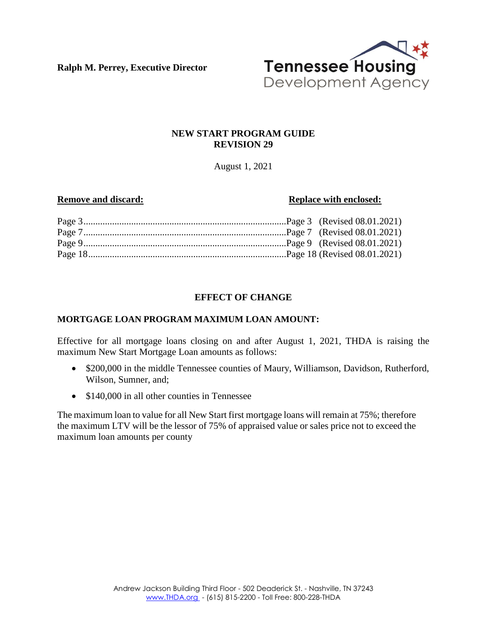**Ralph M. Perrey, Executive Director**



# **NEW START PROGRAM GUIDE REVISION 29**

August 1, 2021

## **Remove and discard: Replace with enclosed:**

# **EFFECT OF CHANGE**

# **MORTGAGE LOAN PROGRAM MAXIMUM LOAN AMOUNT:**

Effective for all mortgage loans closing on and after August 1, 2021, THDA is raising the maximum New Start Mortgage Loan amounts as follows:

- \$200,000 in the middle Tennessee counties of Maury, Williamson, Davidson, Rutherford, Wilson, Sumner, and;
- \$140,000 in all other counties in Tennessee

The maximum loan to value for all New Start first mortgage loans will remain at 75%; therefore the maximum LTV will be the lessor of 75% of appraised value or sales price not to exceed the maximum loan amounts per county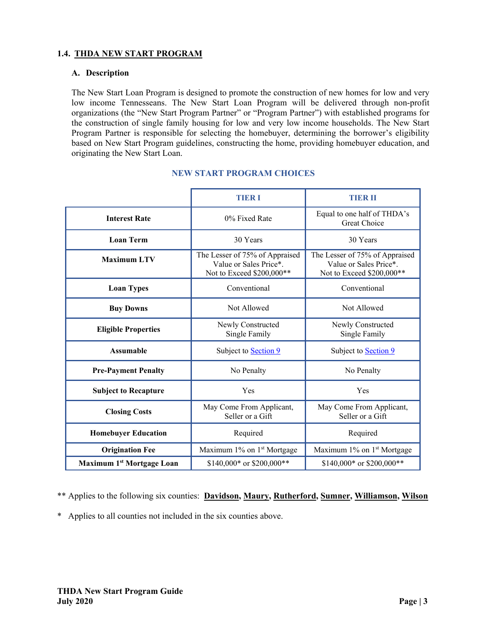### **1.4. THDA NEW START PROGRAM**

### **A. Description**

The New Start Loan Program is designed to promote the construction of new homes for low and very low income Tennesseans. The New Start Loan Program will be delivered through non-profit organizations (the "New Start Program Partner" or "Program Partner") with established programs for the construction of single family housing for low and very low income households. The New Start Program Partner is responsible for selecting the homebuyer, determining the borrower's eligibility based on New Start Program guidelines, constructing the home, providing homebuyer education, and originating the New Start Loan.

|                                       | TIER 1                                                                                | TIER II                                                                               |
|---------------------------------------|---------------------------------------------------------------------------------------|---------------------------------------------------------------------------------------|
| <b>Interest Rate</b>                  | 0% Fixed Rate                                                                         | Equal to one half of THDA's<br><b>Great Choice</b>                                    |
| <b>Loan Term</b>                      | 30 Years                                                                              | 30 Years                                                                              |
| <b>Maximum LTV</b>                    | The Lesser of 75% of Appraised<br>Value or Sales Price*.<br>Not to Exceed \$200,000** | The Lesser of 75% of Appraised<br>Value or Sales Price*.<br>Not to Exceed \$200,000** |
| <b>Loan Types</b>                     | Conventional                                                                          | Conventional                                                                          |
| <b>Buy Downs</b>                      | Not Allowed                                                                           | Not Allowed                                                                           |
| <b>Eligible Properties</b>            | Newly Constructed<br>Single Family                                                    | Newly Constructed<br>Single Family                                                    |
| <b>Assumable</b>                      | Subject to <b>Section 9</b>                                                           | Subject to <b>Section 9</b>                                                           |
| <b>Pre-Payment Penalty</b>            | No Penalty                                                                            | No Penalty                                                                            |
| <b>Subject to Recapture</b>           | Yes                                                                                   | Yes                                                                                   |
| <b>Closing Costs</b>                  | May Come From Applicant,<br>Seller or a Gift                                          | May Come From Applicant,<br>Seller or a Gift                                          |
| <b>Homebuyer Education</b>            | Required                                                                              | Required                                                                              |
| <b>Origination Fee</b>                | Maximum 1% on 1 <sup>st</sup> Mortgage                                                | Maximum 1% on 1 <sup>st</sup> Mortgage                                                |
| Maximum 1 <sup>st</sup> Mortgage Loan | $$140,000*$ or $$200,000**$                                                           | \$140,000* or \$200,000**                                                             |

## **NEW START PROGRAM CHOICES**

\*\* Applies to the following six counties: **Davidson, Maury, Rutherford, Sumner, Williamson, Wilson** 

\* Applies to all counties not included in the six counties above.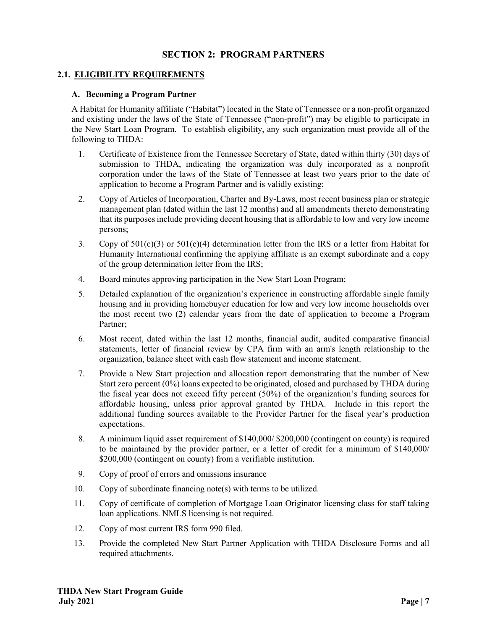# **SECTION 2: PROGRAM PARTNERS**

## **2.1. ELIGIBILITY REQUIREMENTS**

#### **A. Becoming a Program Partner**

A Habitat for Humanity affiliate ("Habitat") located in the State of Tennessee or a non-profit organized and existing under the laws of the State of Tennessee ("non-profit") may be eligible to participate in the New Start Loan Program. To establish eligibility, any such organization must provide all of the following to THDA:

- 1. Certificate of Existence from the Tennessee Secretary of State, dated within thirty (30) days of submission to THDA, indicating the organization was duly incorporated as a nonprofit corporation under the laws of the State of Tennessee at least two years prior to the date of application to become a Program Partner and is validly existing;
- 2. Copy of Articles of Incorporation, Charter and By-Laws, most recent business plan or strategic management plan (dated within the last 12 months) and all amendments thereto demonstrating that its purposes include providing decent housing that is affordable to low and very low income persons;
- 3. Copy of  $501(c)(3)$  or  $501(c)(4)$  determination letter from the IRS or a letter from Habitat for Humanity International confirming the applying affiliate is an exempt subordinate and a copy of the group determination letter from the IRS;
- 4. Board minutes approving participation in the New Start Loan Program;
- 5. Detailed explanation of the organization's experience in constructing affordable single family housing and in providing homebuyer education for low and very low income households over the most recent two (2) calendar years from the date of application to become a Program Partner;
- 6. Most recent, dated within the last 12 months, financial audit, audited comparative financial statements, letter of financial review by CPA firm with an arm's length relationship to the organization, balance sheet with cash flow statement and income statement.
- 7. Provide a New Start projection and allocation report demonstrating that the number of New Start zero percent (0%) loans expected to be originated, closed and purchased by THDA during the fiscal year does not exceed fifty percent (50%) of the organization's funding sources for affordable housing, unless prior approval granted by THDA. Include in this report the additional funding sources available to the Provider Partner for the fiscal year's production expectations.
- 8. A minimum liquid asset requirement of \$140,000/ \$200,000 (contingent on county) is required to be maintained by the provider partner, or a letter of credit for a minimum of \$140,000/ \$200,000 (contingent on county) from a verifiable institution.
- 9. Copy of proof of errors and omissions insurance
- 10. Copy of subordinate financing note(s) with terms to be utilized.
- 11. Copy of certificate of completion of Mortgage Loan Originator licensing class for staff taking loan applications. NMLS licensing is not required.
- 12. Copy of most current IRS form 990 filed.
- 13. Provide the completed New Start Partner Application with THDA Disclosure Forms and all required attachments.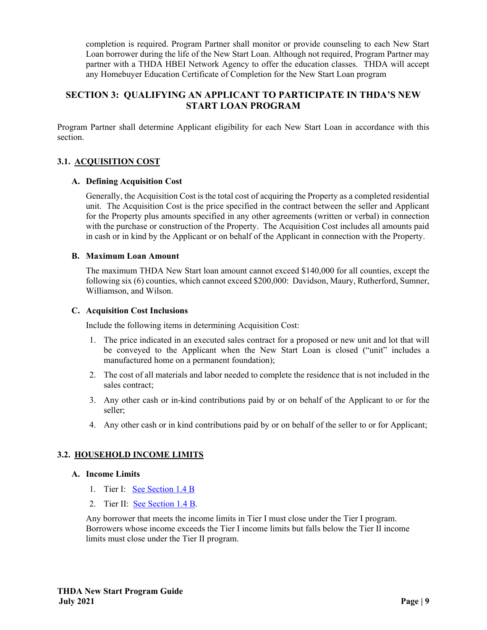completion is required. Program Partner shall monitor or provide counseling to each New Start Loan borrower during the life of the New Start Loan. Although not required, Program Partner may partner with a THDA HBEI Network Agency to offer the education classes. THDA will accept any Homebuyer Education Certificate of Completion for the New Start Loan program

# **SECTION 3: QUALIFYING AN APPLICANT TO PARTICIPATE IN THDA'S NEW START LOAN PROGRAM**

Program Partner shall determine Applicant eligibility for each New Start Loan in accordance with this section.

# **3.1. ACQUISITION COST**

### **A. Defining Acquisition Cost**

 Generally, the Acquisition Cost is the total cost of acquiring the Property as a completed residential unit. The Acquisition Cost is the price specified in the contract between the seller and Applicant for the Property plus amounts specified in any other agreements (written or verbal) in connection with the purchase or construction of the Property. The Acquisition Cost includes all amounts paid in cash or in kind by the Applicant or on behalf of the Applicant in connection with the Property.

### **B. Maximum Loan Amount**

 The maximum THDA New Start loan amount cannot exceed \$140,000 for all counties, except the following six (6) counties, which cannot exceed \$200,000: Davidson, Maury, Rutherford, Sumner, Williamson, and Wilson.

### **C. Acquisition Cost Inclusions**

Include the following items in determining Acquisition Cost:

- 1. The price indicated in an executed sales contract for a proposed or new unit and lot that will be conveyed to the Applicant when the New Start Loan is closed ("unit" includes a manufactured home on a permanent foundation);
- 2. The cost of all materials and labor needed to complete the residence that is not included in the sales contract;
- 3. Any other cash or in-kind contributions paid by or on behalf of the Applicant to or for the seller;
- 4. Any other cash or in kind contributions paid by or on behalf of the seller to or for Applicant;

# **3.2. HOUSEHOLD INCOME LIMITS**

### **A. Income Limits**

- 1. Tier I: See Section 1.4 B
- 2. Tier II: See Section 1.4 B.

Any borrower that meets the income limits in Tier I must close under the Tier I program. Borrowers whose income exceeds the Tier I income limits but falls below the Tier II income limits must close under the Tier II program.